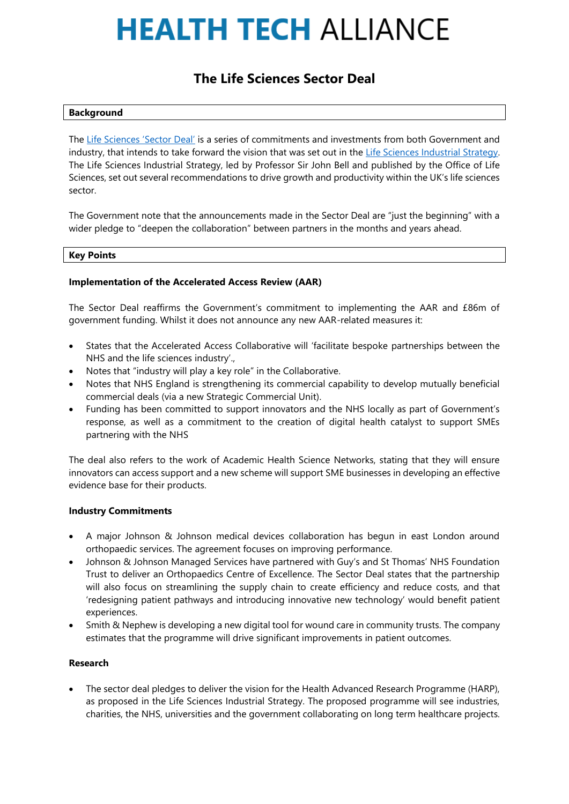# **HEALTH TECH ALLIANCE**

# **The Life Sciences Sector Deal**

#### **Background**

The [Life Sciences '](https://www.gov.uk/government/uploads/system/uploads/attachment_data/file/665452/life-sciences-sector-deal-web-ready-version.pdf)Sector Deal' is a series of commitments and investments from both Government and industry, that intends to take forward the vision that was set out in the [Life Sciences Industrial Strategy.](https://www.gov.uk/government/uploads/system/uploads/attachment_data/file/650447/LifeSciencesIndustrialStrategy_acc2.pdf) The Life Sciences Industrial Strategy, led by Professor Sir John Bell and published by the Office of Life Sciences, set out several recommendations to drive growth and productivity within the UK's life sciences sector.

The Government note that the announcements made in the Sector Deal are "just the beginning" with a wider pledge to "deepen the collaboration" between partners in the months and years ahead.

#### **Key Points**

## **Implementation of the Accelerated Access Review (AAR)**

The Sector Deal reaffirms the Government's commitment to implementing the AAR and £86m of government funding. Whilst it does not announce any new AAR-related measures it:

- States that the Accelerated Access Collaborative will 'facilitate bespoke partnerships between the NHS and the life sciences industry'.,
- Notes that "industry will play a key role" in the Collaborative.
- Notes that NHS England is strengthening its commercial capability to develop mutually beneficial commercial deals (via a new Strategic Commercial Unit).
- Funding has been committed to support innovators and the NHS locally as part of Government's response, as well as a commitment to the creation of digital health catalyst to support SMEs partnering with the NHS

The deal also refers to the work of Academic Health Science Networks, stating that they will ensure innovators can access support and a new scheme will support SME businesses in developing an effective evidence base for their products.

## **Industry Commitments**

- A major Johnson & Johnson medical devices collaboration has begun in east London around orthopaedic services. The agreement focuses on improving performance.
- Johnson & Johnson Managed Services have partnered with Guy's and St Thomas' NHS Foundation Trust to deliver an Orthopaedics Centre of Excellence. The Sector Deal states that the partnership will also focus on streamlining the supply chain to create efficiency and reduce costs, and that 'redesigning patient pathways and introducing innovative new technology' would benefit patient experiences.
- Smith & Nephew is developing a new digital tool for wound care in community trusts. The company estimates that the programme will drive significant improvements in patient outcomes.

# **Research**

• The sector deal pledges to deliver the vision for the Health Advanced Research Programme (HARP), as proposed in the Life Sciences Industrial Strategy. The proposed programme will see industries, charities, the NHS, universities and the government collaborating on long term healthcare projects.